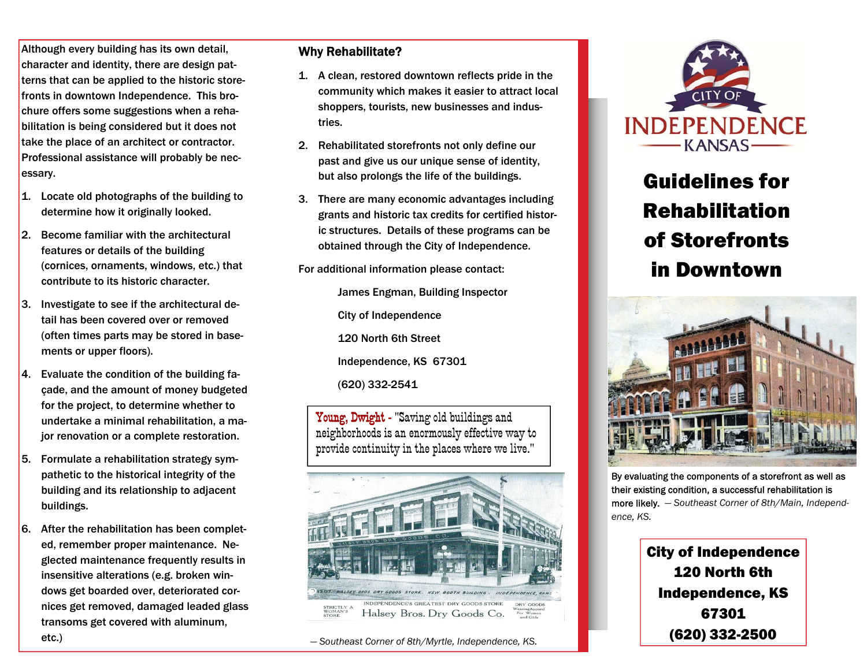Although every building has its own detail, character and identity, there are design patterns that can be applied to the historic storefronts in downtown Independence. This brochure offers some suggestions when a rehabilitation is being considered but it does not take the place of an architect or contractor. Professional assistance will probably be necessary.

- 1. Locate old photographs of the building to determine how it originally looked.
- 2. Become familiar with the architectural features or details of the building (cornices, ornaments, windows, etc.) that contribute to its historic character.
- 3. Investigate to see if the architectural detail has been covered over or removed (often times parts may be stored in basements or upper floors).
- 4. Evaluate the condition of the building façade, and the amount of money budgeted for the project, to determine whether to undertake a minimal rehabilitation, a major renovation or a complete restoration.
- 5. Formulate a rehabilitation strategy sympathetic to the historical integrity of the building and its relationship to adjacent buildings.
- 6. After the rehabilitation has been completed, remember proper maintenance. Neglected maintenance frequently results in insensitive alterations (e.g. broken windows get boarded over, deteriorated cornices get removed, damaged leaded glass transoms get covered with aluminum, etc.)

## Why Rehabilitate?

- 1. A clean, restored downtown reflects pride in the community which makes it easier to attract local shoppers, tourists, new businesses and industries.
- 2. Rehabilitated storefronts not only define our past and give us our unique sense of identity, but also prolongs the life of the buildings.
- 3. There are many economic advantages including grants and historic tax credits for certified historic structures. Details of these programs can be obtained through the City of Independence.

For additional information please contact:

 James Engman, Building Inspector City of Independence 120 North 6th Street Independence, KS 67301 (620) 332-2541

Young, Dwight - "Saving old buildings and neighborhoods is an enormously effective way to provide continuity in the places where we live."



— *Southeast Corner of 8th/Myrtle, Independence, KS.*



## Guidelines for Rehabilitation of Storefronts in Downtown



By evaluating the components of a storefront as well as their existing condition, a successful rehabilitation is more likely. — *Southeast Corner of 8th/Main, Independence, KS.*

City of Independence 120 North 6th Independence, KS 67301 (620) 332-2500